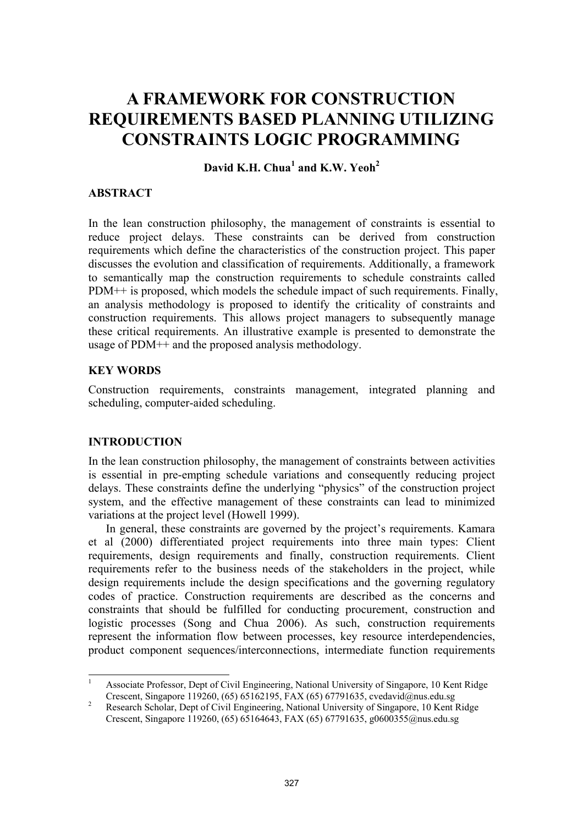# **A FRAMEWORK FOR CONSTRUCTION REQUIREMENTS BASED PLANNING UTILIZING CONSTRAINTS LOGIC PROGRAMMING**

**David K.H. Chua<sup>1</sup> and K.W. Yeoh2**

## **ABSTRACT**

In the lean construction philosophy, the management of constraints is essential to reduce project delays. These constraints can be derived from construction requirements which define the characteristics of the construction project. This paper discusses the evolution and classification of requirements. Additionally, a framework to semantically map the construction requirements to schedule constraints called PDM++ is proposed, which models the schedule impact of such requirements. Finally, an analysis methodology is proposed to identify the criticality of constraints and construction requirements. This allows project managers to subsequently manage these critical requirements. An illustrative example is presented to demonstrate the usage of PDM++ and the proposed analysis methodology.

# **KEY WORDS**

Construction requirements, constraints management, integrated planning and scheduling, computer-aided scheduling.

#### **INTRODUCTION**

In the lean construction philosophy, the management of constraints between activities is essential in pre-empting schedule variations and consequently reducing project delays. These constraints define the underlying "physics" of the construction project system, and the effective management of these constraints can lead to minimized variations at the project level (Howell 1999).

In general, these constraints are governed by the project's requirements. Kamara et al (2000) differentiated project requirements into three main types: Client requirements, design requirements and finally, construction requirements. Client requirements refer to the business needs of the stakeholders in the project, while design requirements include the design specifications and the governing regulatory codes of practice. Construction requirements are described as the concerns and constraints that should be fulfilled for conducting procurement, construction and logistic processes (Song and Chua 2006). As such, construction requirements represent the information flow between processes, key resource interdependencies, product component sequences/interconnections, intermediate function requirements

 $\frac{1}{1}$  Associate Professor, Dept of Civil Engineering, National University of Singapore, 10 Kent Ridge Crescent, Singapore 119260, (65) 65162195, FAX (65) 67791635, cvedavid@nus.edu.sg<br>Pessagas Sabalar, Dant of Civil Engineering, National University of Singapore, 10 Kent I

Research Scholar, Dept of Civil Engineering, National University of Singapore, 10 Kent Ridge Crescent, Singapore 119260, (65) 65164643, FAX (65) 67791635, g0600355@nus.edu.sg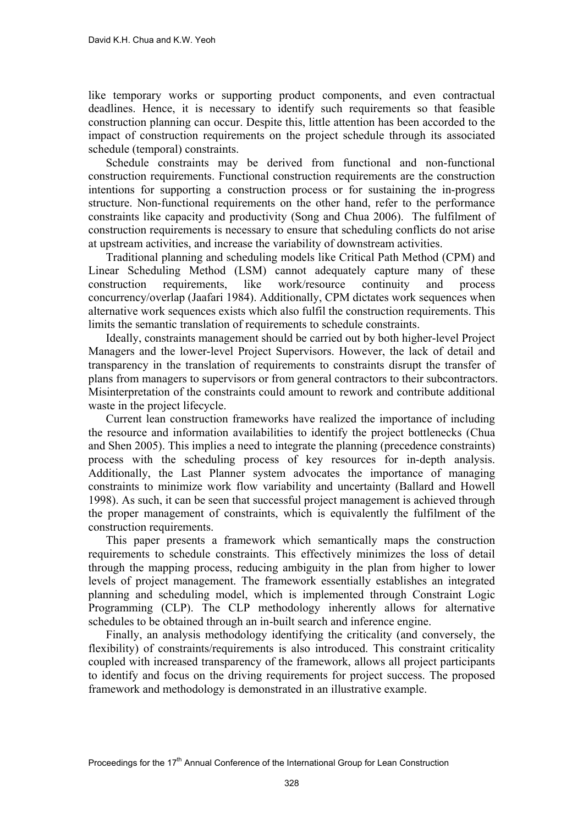like temporary works or supporting product components, and even contractual deadlines. Hence, it is necessary to identify such requirements so that feasible construction planning can occur. Despite this, little attention has been accorded to the impact of construction requirements on the project schedule through its associated schedule (temporal) constraints.

Schedule constraints may be derived from functional and non-functional construction requirements. Functional construction requirements are the construction intentions for supporting a construction process or for sustaining the in-progress structure. Non-functional requirements on the other hand, refer to the performance constraints like capacity and productivity (Song and Chua 2006). The fulfilment of construction requirements is necessary to ensure that scheduling conflicts do not arise at upstream activities, and increase the variability of downstream activities.

Traditional planning and scheduling models like Critical Path Method (CPM) and Linear Scheduling Method (LSM) cannot adequately capture many of these construction requirements, like work/resource continuity and process concurrency/overlap (Jaafari 1984). Additionally, CPM dictates work sequences when alternative work sequences exists which also fulfil the construction requirements. This limits the semantic translation of requirements to schedule constraints.

Ideally, constraints management should be carried out by both higher-level Project Managers and the lower-level Project Supervisors. However, the lack of detail and transparency in the translation of requirements to constraints disrupt the transfer of plans from managers to supervisors or from general contractors to their subcontractors. Misinterpretation of the constraints could amount to rework and contribute additional waste in the project lifecycle.

Current lean construction frameworks have realized the importance of including the resource and information availabilities to identify the project bottlenecks (Chua and Shen 2005). This implies a need to integrate the planning (precedence constraints) process with the scheduling process of key resources for in-depth analysis. Additionally, the Last Planner system advocates the importance of managing constraints to minimize work flow variability and uncertainty (Ballard and Howell 1998). As such, it can be seen that successful project management is achieved through the proper management of constraints, which is equivalently the fulfilment of the construction requirements.

This paper presents a framework which semantically maps the construction requirements to schedule constraints. This effectively minimizes the loss of detail through the mapping process, reducing ambiguity in the plan from higher to lower levels of project management. The framework essentially establishes an integrated planning and scheduling model, which is implemented through Constraint Logic Programming (CLP). The CLP methodology inherently allows for alternative schedules to be obtained through an in-built search and inference engine.

Finally, an analysis methodology identifying the criticality (and conversely, the flexibility) of constraints/requirements is also introduced. This constraint criticality coupled with increased transparency of the framework, allows all project participants to identify and focus on the driving requirements for project success. The proposed framework and methodology is demonstrated in an illustrative example.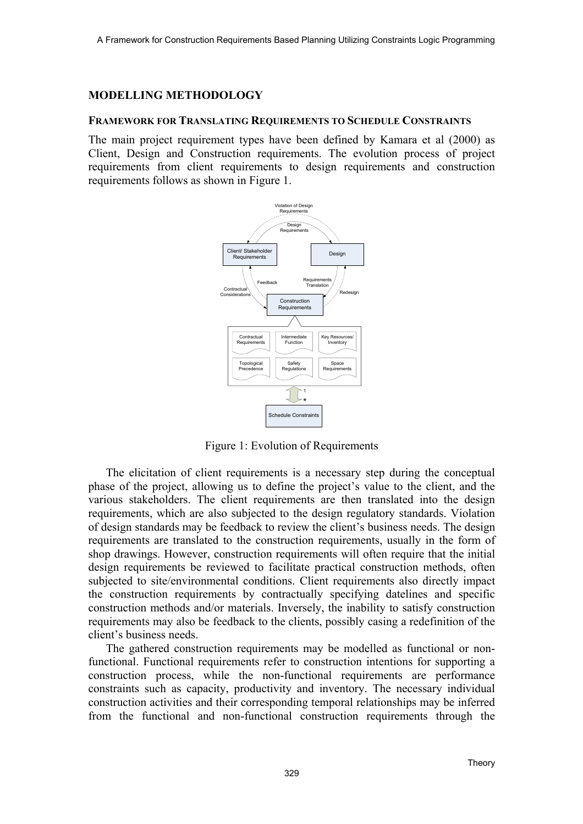## **MODELLING METHODOLOGY**

#### **FRAMEWORK FOR TRANSLATING REQUIREMENTS TO SCHEDULE CONSTRAINTS**

The main project requirement types have been defined by Kamara et al (2000) as Client, Design and Construction requirements. The evolution process of project requirements from client requirements to design requirements and construction requirements follows as shown in Figure 1.



Figure 1: Evolution of Requirements

The elicitation of client requirements is a necessary step during the conceptual phase of the project, allowing us to define the project's value to the client, and the various stakeholders. The client requirements are then translated into the design requirements, which are also subjected to the design regulatory standards. Violation of design standards may be feedback to review the client's business needs. The design requirements are translated to the construction requirements, usually in the form of shop drawings. However, construction requirements will often require that the initial design requirements be reviewed to facilitate practical construction methods, often subjected to site/environmental conditions. Client requirements also directly impact the construction requirements by contractually specifying datelines and specific construction methods and/or materials. Inversely, the inability to satisfy construction requirements may also be feedback to the clients, possibly casing a redefinition of the client's business needs.

The gathered construction requirements may be modelled as functional or nonfunctional. Functional requirements refer to construction intentions for supporting a construction process, while the non-functional requirements are performance constraints such as capacity, productivity and inventory. The necessary individual construction activities and their corresponding temporal relationships may be inferred from the functional and non-functional construction requirements through the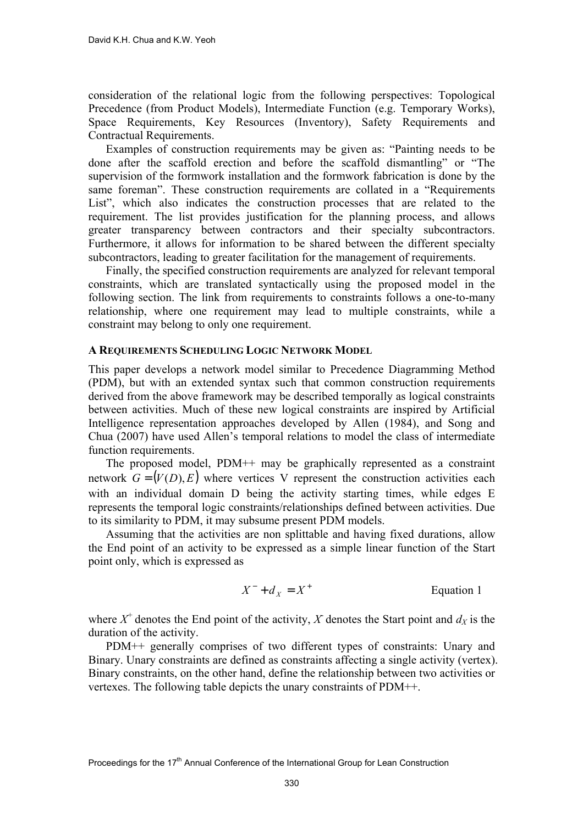consideration of the relational logic from the following perspectives: Topological Precedence (from Product Models), Intermediate Function (e.g. Temporary Works), Space Requirements, Key Resources (Inventory), Safety Requirements and Contractual Requirements.

Examples of construction requirements may be given as: "Painting needs to be done after the scaffold erection and before the scaffold dismantling" or "The supervision of the formwork installation and the formwork fabrication is done by the same foreman". These construction requirements are collated in a "Requirements List", which also indicates the construction processes that are related to the requirement. The list provides justification for the planning process, and allows greater transparency between contractors and their specialty subcontractors. Furthermore, it allows for information to be shared between the different specialty subcontractors, leading to greater facilitation for the management of requirements.

Finally, the specified construction requirements are analyzed for relevant temporal constraints, which are translated syntactically using the proposed model in the following section. The link from requirements to constraints follows a one-to-many relationship, where one requirement may lead to multiple constraints, while a constraint may belong to only one requirement.

#### **A REQUIREMENTS SCHEDULING LOGIC NETWORK MODEL**

This paper develops a network model similar to Precedence Diagramming Method (PDM), but with an extended syntax such that common construction requirements derived from the above framework may be described temporally as logical constraints between activities. Much of these new logical constraints are inspired by Artificial Intelligence representation approaches developed by Allen (1984), and Song and Chua (2007) have used Allen's temporal relations to model the class of intermediate function requirements.

The proposed model, PDM++ may be graphically represented as a constraint network  $G = (V(D), E)$  where vertices V represent the construction activities each with an individual domain D being the activity starting times, while edges E represents the temporal logic constraints/relationships defined between activities. Due to its similarity to PDM, it may subsume present PDM models.

Assuming that the activities are non splittable and having fixed durations, allow the End point of an activity to be expressed as a simple linear function of the Start point only, which is expressed as

$$
X^- + d_X = X^+ \qquad \qquad \text{Equation 1}
$$

where  $X^+$  denotes the End point of the activity,  $X$  denotes the Start point and  $d_X$  is the duration of the activity.

PDM++ generally comprises of two different types of constraints: Unary and Binary. Unary constraints are defined as constraints affecting a single activity (vertex). Binary constraints, on the other hand, define the relationship between two activities or vertexes. The following table depicts the unary constraints of PDM++.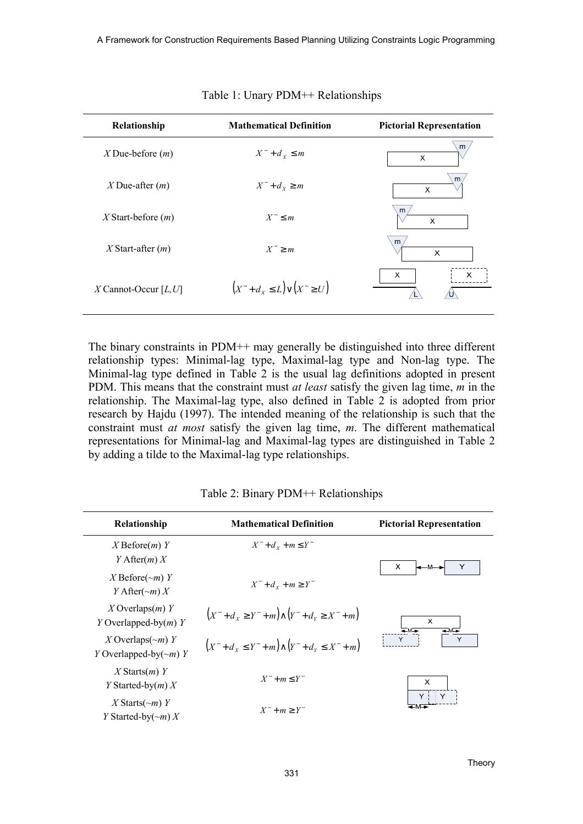| Relationship            | <b>Mathematical Definition</b>         | <b>Pictorial Representation</b>           |
|-------------------------|----------------------------------------|-------------------------------------------|
| $X$ Due-before $(m)$    | $X^-$ + $d_x \leq m$                   | m<br>X                                    |
| X Due-after $(m)$       | $X^-$ + $d_x \geq m$                   | m<br>X                                    |
| $X$ Start-before $(m)$  | $X^- \leq m$                           | m<br>$\boldsymbol{\mathsf{x}}$            |
| $X$ Start-after $(m)$   | $X^- \geq m$                           | m <sub>l</sub><br>X                       |
| $X$ Cannot-Occur [L, U] | $(X^- + d_x \leq L) \vee (X^- \geq U)$ | $\mathsf{X}$<br>$\boldsymbol{\mathsf{X}}$ |

Table 1: Unary PDM++ Relationships

The binary constraints in PDM++ may generally be distinguished into three different relationship types: Minimal-lag type, Maximal-lag type and Non-lag type. The Minimal-lag type defined in Table 2 is the usual lag definitions adopted in present PDM. This means that the constraint must *at least* satisfy the given lag time, *m* in the relationship. The Maximal-lag type, also defined in Table 2 is adopted from prior research by Hajdu (1997). The intended meaning of the relationship is such that the constraint must *at most* satisfy the given lag time, *m*. The different mathematical representations for Minimal-lag and Maximal-lag types are distinguished in Table 2 by adding a tilde to the Maximal-lag type relationships.

| Relationship                                            | <b>Mathematical Definition</b>                             | <b>Pictorial Representation</b>               |  |
|---------------------------------------------------------|------------------------------------------------------------|-----------------------------------------------|--|
| $X$ Before $(m)$ Y<br>Y After $(m) X$                   | $X^- + d_x + m \leq Y^-$                                   | X.<br>l—M—                                    |  |
| X Before $(\sim m)$ Y<br>Y After $(\sim m) X$           | $X^- + d_v + m \geq Y^-$                                   |                                               |  |
| X Overlaps $(m)$ Y<br>Y Overlapped-by $(m)$ Y           | $(X^- + d_x \ge Y^- + m) \wedge (Y^- + d_y \ge X^- + m)$   | $\boldsymbol{\mathsf{X}}$<br>$+M+$<br>$+ M +$ |  |
| X Overlaps $(\sim m)$ Y<br>Y Overlapped-by $(\sim m)$ Y | $(X^- + d_x \leq Y^- + m) \wedge (Y^- + d_y \leq X^- + m)$ | Y                                             |  |
| $X$ Starts $(m)$ Y<br>Y Started-by $(m) X$              | $X^- + m \leq Y^-$                                         | $\boldsymbol{\mathsf{x}}$                     |  |
| X Starts $(\sim m)$ Y<br>Y Started-by( $\sim m$ ) X     | $X^- + m \geq Y^-$                                         |                                               |  |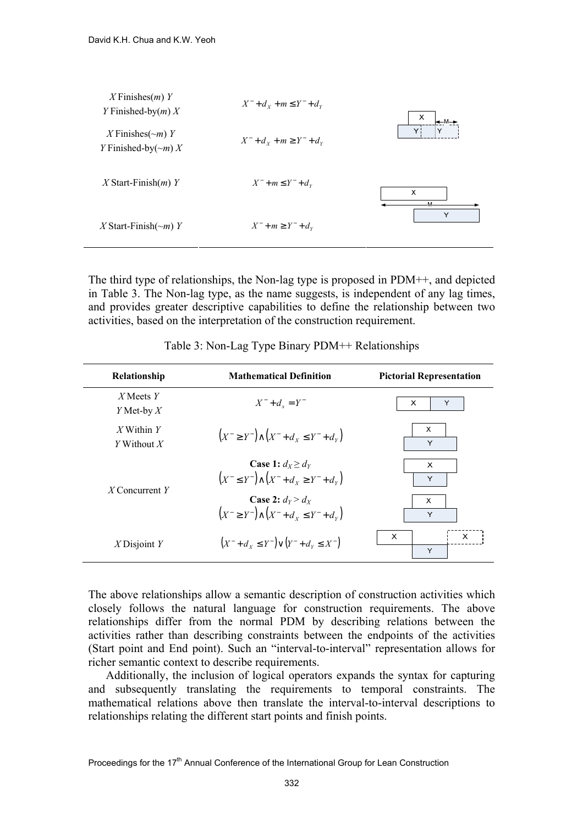

The third type of relationships, the Non-lag type is proposed in PDM++, and depicted in Table 3. The Non-lag type, as the name suggests, is independent of any lag times, and provides greater descriptive capabilities to define the relationship between two activities, based on the interpretation of the construction requirement.

| Relationship                  | <b>Mathematical Definition</b>                                                          | <b>Pictorial Representation</b> |
|-------------------------------|-----------------------------------------------------------------------------------------|---------------------------------|
| $X$ Meets $Y$<br>Y Met-by $X$ | $X^- + d_x = Y^-$                                                                       | $\times$<br>Υ                   |
| X Within $Y$<br>Y Without $X$ | $(X^- \geq Y^-) \wedge (X^- + d_{X} \leq Y^- + d_{Y})$                                  | X<br>Y                          |
| X Concurrent $Y$              | <b>Case 1:</b> $d_X \geq d_Y$<br>$(X^- \leq Y^-) \wedge (X^- + d_{Y} \geq Y^- + d_{Y})$ | X<br>Y                          |
|                               | Case 2: $d_v > d_v$<br>$(X^- \geq Y^-) \wedge (X^- + d_{X} \leq Y^- + d_{Y})$           | $\times$<br>Y                   |
| $X$ Disjoint Y                | $(X^- + d_{Y} \leq Y^-) \vee (Y^- + d_{Y} \leq X^-)$                                    | $\mathsf{x}$<br>$\times$<br>Y   |

Table 3: Non-Lag Type Binary PDM++ Relationships

The above relationships allow a semantic description of construction activities which closely follows the natural language for construction requirements. The above relationships differ from the normal PDM by describing relations between the activities rather than describing constraints between the endpoints of the activities (Start point and End point). Such an "interval-to-interval" representation allows for richer semantic context to describe requirements.

Additionally, the inclusion of logical operators expands the syntax for capturing and subsequently translating the requirements to temporal constraints. The mathematical relations above then translate the interval-to-interval descriptions to relationships relating the different start points and finish points.

Proceedings for the 17<sup>th</sup> Annual Conference of the International Group for Lean Construction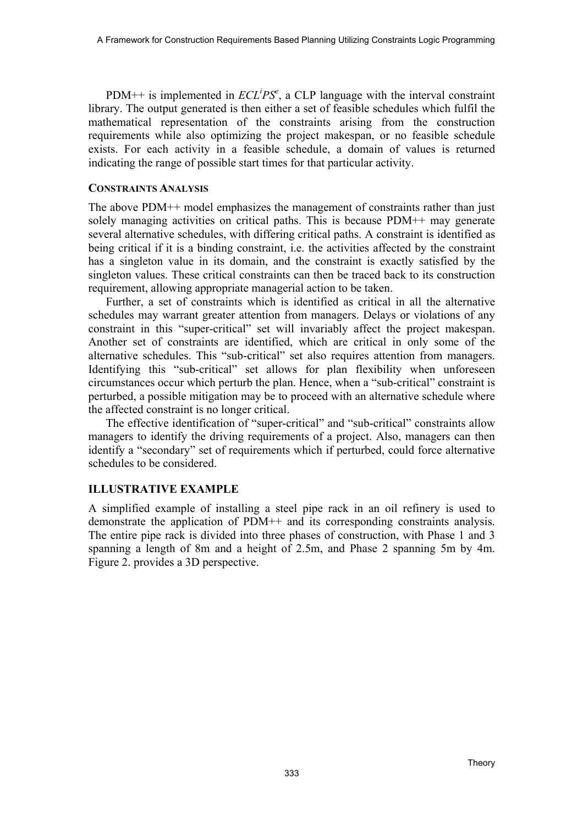PDM<sup>++</sup> is implemented in  $ECL$ <sup>*iPS<sup>e</sup>*, a CLP language with the interval constraint</sup> library. The output generated is then either a set of feasible schedules which fulfil the mathematical representation of the constraints arising from the construction requirements while also optimizing the project makespan, or no feasible schedule exists. For each activity in a feasible schedule, a domain of values is returned indicating the range of possible start times for that particular activity.

## **CONSTRAINTS ANALYSIS**

The above PDM++ model emphasizes the management of constraints rather than just solely managing activities on critical paths. This is because PDM++ may generate several alternative schedules, with differing critical paths. A constraint is identified as being critical if it is a binding constraint, i.e. the activities affected by the constraint has a singleton value in its domain, and the constraint is exactly satisfied by the singleton values. These critical constraints can then be traced back to its construction requirement, allowing appropriate managerial action to be taken.

Further, a set of constraints which is identified as critical in all the alternative schedules may warrant greater attention from managers. Delays or violations of any constraint in this "super-critical" set will invariably affect the project makespan. Another set of constraints are identified, which are critical in only some of the alternative schedules. This "sub-critical" set also requires attention from managers. Identifying this "sub-critical" set allows for plan flexibility when unforeseen circumstances occur which perturb the plan. Hence, when a "sub-critical" constraint is perturbed, a possible mitigation may be to proceed with an alternative schedule where the affected constraint is no longer critical.

The effective identification of "super-critical" and "sub-critical" constraints allow managers to identify the driving requirements of a project. Also, managers can then identify a "secondary" set of requirements which if perturbed, could force alternative schedules to be considered.

# **ILLUSTRATIVE EXAMPLE**

A simplified example of installing a steel pipe rack in an oil refinery is used to demonstrate the application of PDM++ and its corresponding constraints analysis. The entire pipe rack is divided into three phases of construction, with Phase 1 and 3 spanning a length of 8m and a height of 2.5m, and Phase 2 spanning 5m by 4m. Figure 2. provides a 3D perspective.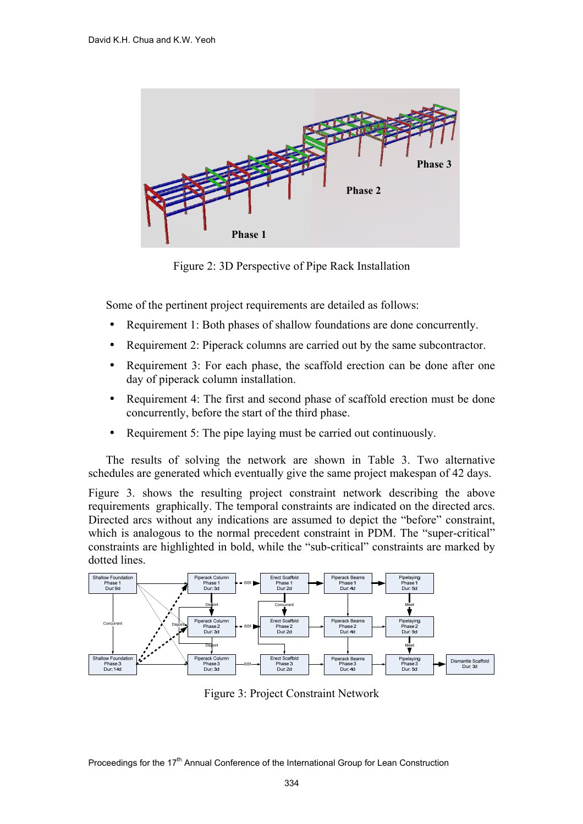

Figure 2: 3D Perspective of Pipe Rack Installation

Some of the pertinent project requirements are detailed as follows:

- Requirement 1: Both phases of shallow foundations are done concurrently.
- Requirement 2: Piperack columns are carried out by the same subcontractor.
- Requirement 3: For each phase, the scaffold erection can be done after one day of piperack column installation.
- Requirement 4: The first and second phase of scaffold erection must be done concurrently, before the start of the third phase.
- Requirement 5: The pipe laying must be carried out continuously.

The results of solving the network are shown in Table 3. Two alternative schedules are generated which eventually give the same project makespan of 42 days.

Figure 3. shows the resulting project constraint network describing the above requirements graphically. The temporal constraints are indicated on the directed arcs. Directed arcs without any indications are assumed to depict the "before" constraint, which is analogous to the normal precedent constraint in PDM. The "super-critical" constraints are highlighted in bold, while the "sub-critical" constraints are marked by dotted lines.



Figure 3: Project Constraint Network

Proceedings for the 17<sup>th</sup> Annual Conference of the International Group for Lean Construction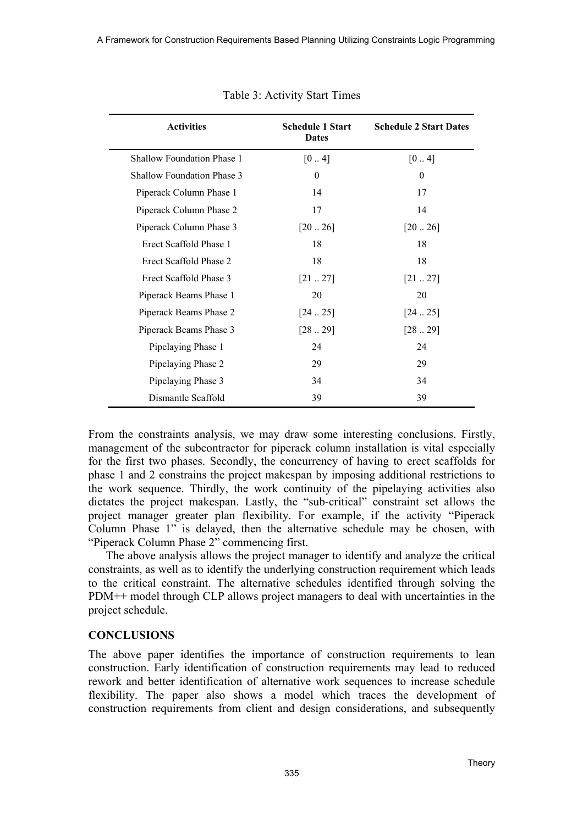| <b>Activities</b>                 | <b>Schedule 1 Start</b><br><b>Dates</b> | <b>Schedule 2 Start Dates</b> |
|-----------------------------------|-----------------------------------------|-------------------------------|
| Shallow Foundation Phase 1        | [04]                                    | $[0 \dots 4]$                 |
| <b>Shallow Foundation Phase 3</b> | $\boldsymbol{0}$                        | $\boldsymbol{0}$              |
| Piperack Column Phase 1           | 14                                      | 17                            |
| Piperack Column Phase 2           | 17                                      | 14                            |
| Piperack Column Phase 3           | [2026]                                  | [2026]                        |
| Erect Scaffold Phase 1            | 18                                      | 18                            |
| Erect Scaffold Phase 2            | 18                                      | 18                            |
| Erect Scaffold Phase 3            | [2127]                                  | [2127]                        |
| Piperack Beams Phase 1            | 20                                      | 20                            |
| Piperack Beams Phase 2            | [2425]                                  | [2425]                        |
| Piperack Beams Phase 3            | [2829]                                  | [2829]                        |
| Pipelaying Phase 1                | 24                                      | 24                            |
| Pipelaying Phase 2                | 29                                      | 29                            |
| Pipelaying Phase 3                | 34                                      | 34                            |
| Dismantle Scaffold                | 39                                      | 39                            |

Table 3: Activity Start Times

From the constraints analysis, we may draw some interesting conclusions. Firstly, management of the subcontractor for piperack column installation is vital especially for the first two phases. Secondly, the concurrency of having to erect scaffolds for phase 1 and 2 constrains the project makespan by imposing additional restrictions to the work sequence. Thirdly, the work continuity of the pipelaying activities also dictates the project makespan. Lastly, the "sub-critical" constraint set allows the project manager greater plan flexibility. For example, if the activity "Piperack Column Phase 1" is delayed, then the alternative schedule may be chosen, with "Piperack Column Phase 2" commencing first.

The above analysis allows the project manager to identify and analyze the critical constraints, as well as to identify the underlying construction requirement which leads to the critical constraint. The alternative schedules identified through solving the PDM++ model through CLP allows project managers to deal with uncertainties in the project schedule.

#### **CONCLUSIONS**

The above paper identifies the importance of construction requirements to lean construction. Early identification of construction requirements may lead to reduced rework and better identification of alternative work sequences to increase schedule flexibility. The paper also shows a model which traces the development of construction requirements from client and design considerations, and subsequently